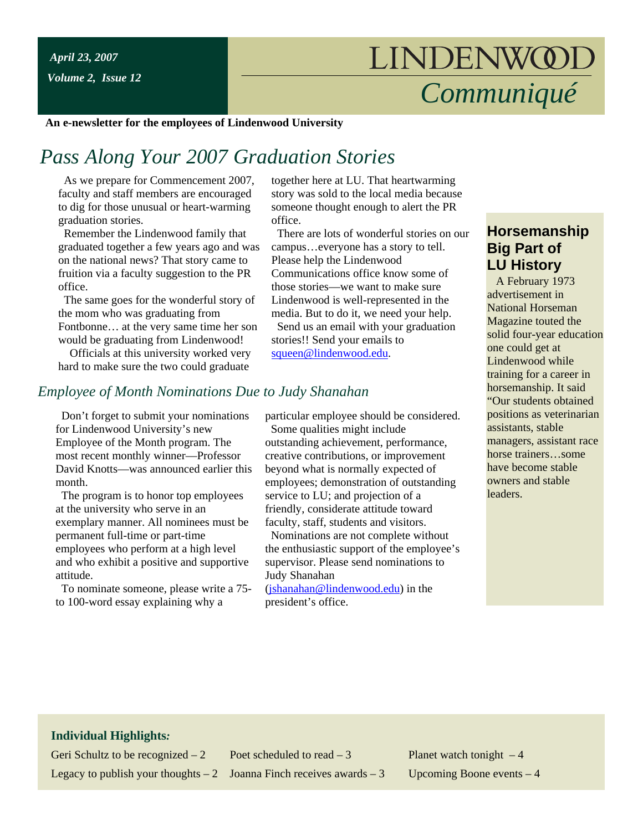*Volume 2, Issue 12*

# *Communiqué*

**An e-newsletter for the employees of Lindenwood University**

### *Pass Along Your 2007 Graduation Stories*

 As we prepare for Commencement 2007, faculty and staff members are encouraged to dig for those unusual or heart-warming graduation stories.

 Remember the Lindenwood family that graduated together a few years ago and was on the national news? That story came to fruition via a faculty suggestion to the PR office.

 The same goes for the wonderful story of the mom who was graduating from Fontbonne… at the very same time her son would be graduating from Lindenwood!

 Officials at this university worked very hard to make sure the two could graduate

together here at LU. That heartwarming story was sold to the local media because someone thought enough to alert the PR office.

 There are lots of wonderful stories on our campus…everyone has a story to tell. Please help the Lindenwood Communications office know some of those stories—we want to make sure Lindenwood is well-represented in the media. But to do it, we need your help.

 Send us an email with your graduation stories!! Send your emails to [squeen@lindenwood.edu.](mailto:squeen@lindenwood.edu)

#### *Employee of Month Nominations Due to Judy Shanahan*

 Don't forget to submit your nominations for Lindenwood University's new Employee of the Month program. The most recent monthly winner—Professor David Knotts—was announced earlier this month.

 The program is to honor top employees at the university who serve in an exemplary manner. All nominees must be permanent full-time or part-time employees who perform at a high level and who exhibit a positive and supportive attitude.

 To nominate someone, please write a 75 to 100-word essay explaining why a

particular employee should be considered. Some qualities might include outstanding achievement, performance, creative contributions, or improvement beyond what is normally expected of employees; demonstration of outstanding service to LU; and projection of a friendly, considerate attitude toward faculty, staff, students and visitors. Nominations are not complete without

the enthusiastic support of the employee's supervisor. Please send nominations to Judy Shanahan

[\(jshanahan@lindenwood.edu\)](mailto:jshanahan@lindenwood.edu) in the president's office.

#### **Horsemanship Big Part of LU History**

 A February 1973 advertisement in National Horseman Magazine touted the solid four-year education one could get at Lindenwood while training for a career in horsemanship. It said "Our students obtained positions as veterinarian assistants, stable managers, assistant race horse trainers…some have become stable owners and stable **leaders** 

#### **Individual Highlights***:*

Geri Schultz to be recognized  $-2$  Poet scheduled to read  $-3$  Planet watch tonight  $-4$ Legacy to publish your thoughts  $-2$  Joanna Finch receives awards  $-3$  Upcoming Boone events  $-4$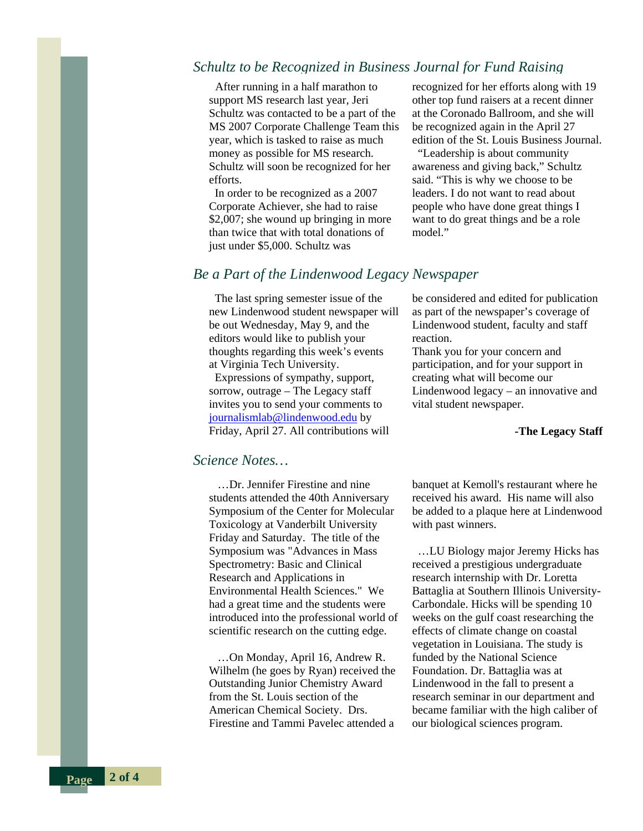#### *Schultz to be Recognized in Business Journal for Fund Raising*

 After running in a half marathon to support MS research last year, Jeri Schultz was contacted to be a part of the MS 2007 Corporate Challenge Team this year, which is tasked to raise as much money as possible for MS research. Schultz will soon be recognized for her efforts.

 In order to be recognized as a 2007 Corporate Achiever, she had to raise \$2,007; she wound up bringing in more than twice that with total donations of just under \$5,000. Schultz was

recognized for her efforts along with 19 other top fund raisers at a recent dinner at the Coronado Ballroom, and she will be recognized again in the April 27 edition of the St. Louis Business Journal.

 "Leadership is about community awareness and giving back," Schultz said. "This is why we choose to be leaders. I do not want to read about people who have done great things I want to do great things and be a role model."

#### *Be a Part of the Lindenwood Legacy Newspaper*

 The last spring semester issue of the new Lindenwood student newspaper will be out Wednesday, May 9, and the editors would like to publish your thoughts regarding this week's events at Virginia Tech University.

 Expressions of sympathy, support, sorrow, outrage – The Legacy staff invites you to send your comments to [journalismlab@lindenwood.edu](mailto:journalismlab@lindenwood.edu) by Friday, April 27. All contributions will

*Science Notes…* 

 …Dr. Jennifer Firestine and nine students attended the 40th Anniversary Symposium of the Center for Molecular Toxicology at Vanderbilt University Friday and Saturday. The title of the Symposium was "Advances in Mass Spectrometry: Basic and Clinical Research and Applications in Environmental Health Sciences." We had a great time and the students were introduced into the professional world of scientific research on the cutting edge.

 …On Monday, April 16, Andrew R. Wilhelm (he goes by Ryan) received the Outstanding Junior Chemistry Award from the St. Louis section of the American Chemical Society. Drs. Firestine and Tammi Pavelec attended a

be considered and edited for publication as part of the newspaper's coverage of Lindenwood student, faculty and staff reaction.

Thank you for your concern and participation, and for your support in creating what will become our Lindenwood legacy – an innovative and vital student newspaper.

#### **-The Legacy Staff**

banquet at Kemoll's restaurant where he received his award. His name will also be added to a plaque here at Lindenwood with past winners.

 …LU Biology major Jeremy Hicks has received a prestigious undergraduate research internship with Dr. Loretta Battaglia at Southern Illinois University-Carbondale. Hicks will be spending 10 weeks on the gulf coast researching the effects of climate change on coastal vegetation in Louisiana. The study is funded by the National Science Foundation. Dr. Battaglia was at Lindenwood in the fall to present a research seminar in our department and became familiar with the high caliber of our biological sciences program.

**Page 2 of 4**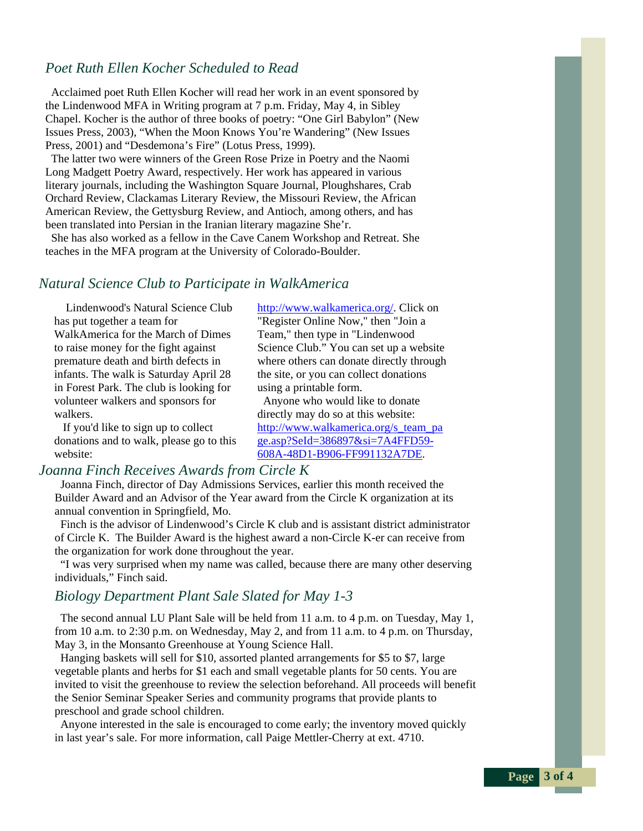#### *Poet Ruth Ellen Kocher Scheduled to Read*

 Acclaimed poet Ruth Ellen Kocher will read her work in an event sponsored by the Lindenwood MFA in Writing program at 7 p.m. Friday, May 4, in Sibley Chapel. Kocher is the author of three books of poetry: "One Girl Babylon" (New Issues Press, 2003), "When the Moon Knows You're Wandering" (New Issues Press, 2001) and "Desdemona's Fire" (Lotus Press, 1999).

 The latter two were winners of the Green Rose Prize in Poetry and the Naomi Long Madgett Poetry Award, respectively. Her work has appeared in various literary journals, including the Washington Square Journal, Ploughshares, Crab Orchard Review, Clackamas Literary Review, the Missouri Review, the African American Review, the Gettysburg Review, and Antioch, among others, and has been translated into Persian in the Iranian literary magazine She'r.

 She has also worked as a fellow in the Cave Canem Workshop and Retreat. She teaches in the MFA program at the University of Colorado-Boulder.

#### *Natural Science Club to Participate in WalkAmerica*

 Lindenwood's Natural Science Club has put together a team for WalkAmerica for the March of Dimes to raise money for the fight against premature death and birth defects in infants. The walk is Saturday April 28 in Forest Park. The club is looking for volunteer walkers and sponsors for walkers.

 If you'd like to sign up to collect donations and to walk, please go to this website:

#### *Joanna Finch Receives Awards from Circle K*

 Joanna Finch, director of Day Admissions Services, earlier this month received the Builder Award and an Advisor of the Year award from the Circle K organization at its annual convention in Springfield, Mo.

 Finch is the advisor of Lindenwood's Circle K club and is assistant district administrator of Circle K. The Builder Award is the highest award a non-Circle K-er can receive from the organization for work done throughout the year.

 "I was very surprised when my name was called, because there are many other deserving individuals," Finch said.

#### *Biology Department Plant Sale Slated for May 1-3*

 The second annual LU Plant Sale will be held from 11 a.m. to 4 p.m. on Tuesday, May 1, from 10 a.m. to 2:30 p.m. on Wednesday, May 2, and from 11 a.m. to 4 p.m. on Thursday, May 3, in the Monsanto Greenhouse at Young Science Hall.

 Hanging baskets will sell for \$10, assorted planted arrangements for \$5 to \$7, large vegetable plants and herbs for \$1 each and small vegetable plants for 50 cents. You are invited to visit the greenhouse to review the selection beforehand. All proceeds will benefit the Senior Seminar Speaker Series and community programs that provide plants to preschool and grade school children.

 Anyone interested in the sale is encouraged to come early; the inventory moved quickly in last year's sale. For more information, call Paige Mettler-Cherry at ext. 4710.

[http://www.walkamerica.org/.](http://www.walkamerica.org/) Click on "Register Online Now," then "Join a Team," then type in "Lindenwood Science Club." You can set up a website where others can donate directly through the site, or you can collect donations using a printable form.

 Anyone who would like to donate directly may do so at this website: [http://www.walkamerica.org/s\\_team\\_pa](http://www.walkamerica.org/s_team_page.asp?SeId=386897&si=7A4FFD59-608A-48D1-B906-FF991132A7DE) [ge.asp?SeId=386897&si=7A4FFD59-](http://www.walkamerica.org/s_team_page.asp?SeId=386897&si=7A4FFD59-608A-48D1-B906-FF991132A7DE) [608A-48D1-B906-FF991132A7DE](http://www.walkamerica.org/s_team_page.asp?SeId=386897&si=7A4FFD59-608A-48D1-B906-FF991132A7DE).